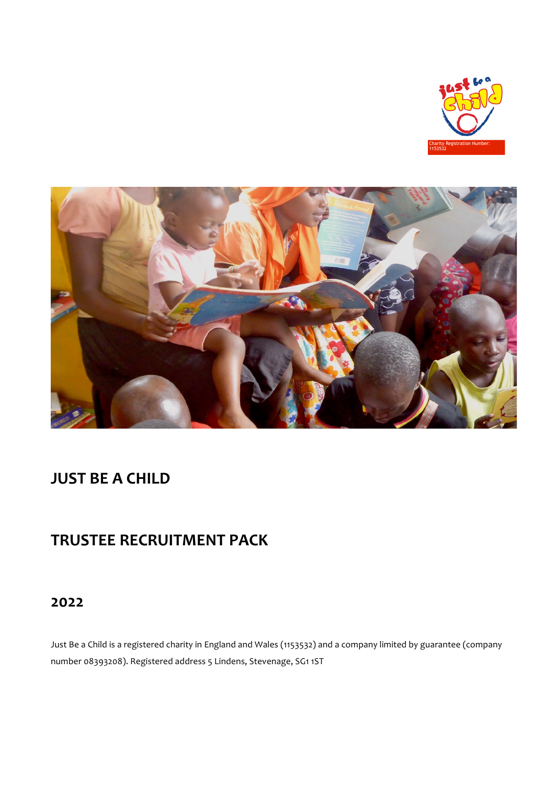



# **JUST BE A CHILD**

# **TRUSTEE RECRUITMENT PACK**

# **2022**

Just Be a Child is a registered charity in England and Wales (1153532) and a company limited by guarantee (company number 08393208). Registered address 5 Lindens, Stevenage, SG1 1ST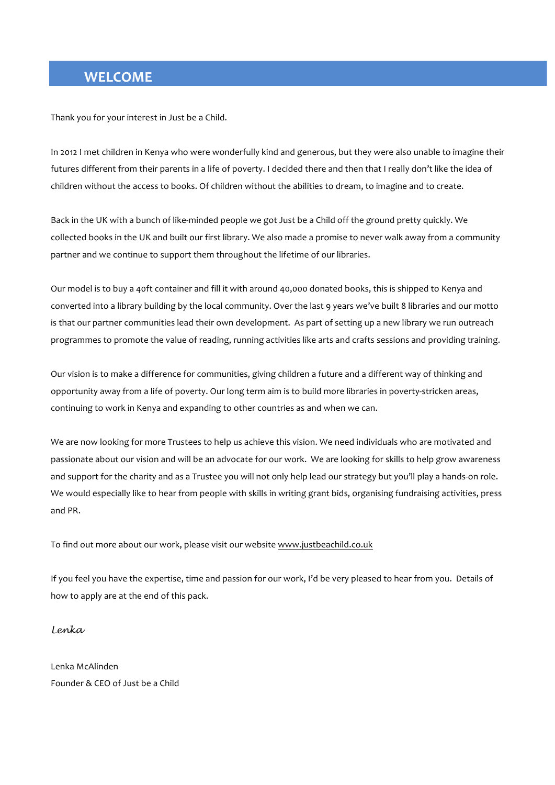# **WELCOME**

Thank you for your interest in Just be a Child.

In 2012 I met children in Kenya who were wonderfully kind and generous, but they were also unable to imagine their futures different from their parents in a life of poverty. I decided there and then that I really don't like the idea of children without the access to books. Of children without the abilities to dream, to imagine and to create.

Back in the UK with a bunch of like-minded people we got Just be a Child off the ground pretty quickly. We collected books in the UK and built our first library. We also made a promise to never walk away from a community partner and we continue to support them throughout the lifetime of our libraries.

Our model is to buy a 40ft container and fill it with around 40,000 donated books, this is shipped to Kenya and converted into a library building by the local community. Over the last 9 years we've built 8 libraries and our motto is that our partner communities lead their own development. As part of setting up a new library we run outreach programmes to promote the value of reading, running activities like arts and crafts sessions and providing training.

Our vision is to make a difference for communities, giving children a future and a different way of thinking and opportunity away from a life of poverty. Our long term aim is to build more libraries in poverty-stricken areas, continuing to work in Kenya and expanding to other countries as and when we can.

We are now looking for more Trustees to help us achieve this vision. We need individuals who are motivated and passionate about our vision and will be an advocate for our work. We are looking for skills to help grow awareness and support for the charity and as a Trustee you will not only help lead our strategy but you'll play a hands-on role. We would especially like to hear from people with skills in writing grant bids, organising fundraising activities, press and PR.

To find out more about our work, please visit our website www.justbeachild.co.uk

If you feel you have the expertise, time and passion for our work, I'd be very pleased to hear from you. Details of how to apply are at the end of this pack.

*Lenka*

Lenka McAlinden Founder & CEO of Just be a Child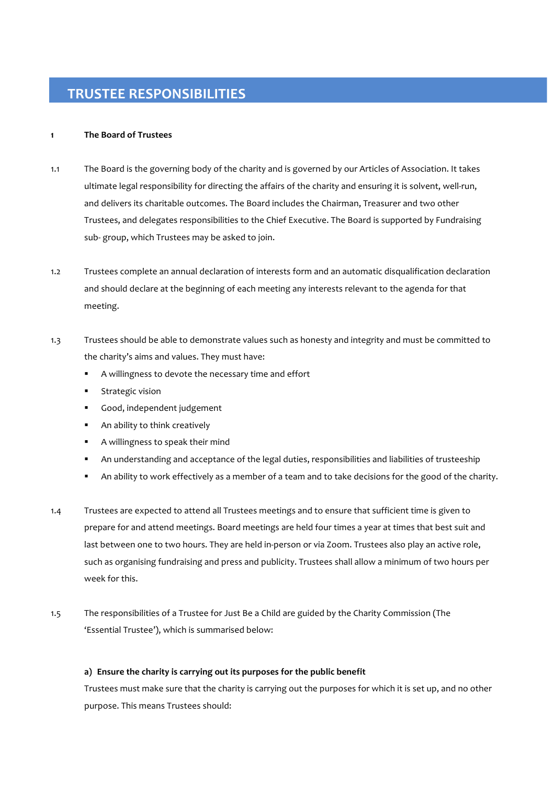#### 1 **1 The Board of Trustees**

- 1.1 The Board is the governing body of the charity and is governed by our Articles of Association. It takes ultimate legal responsibility for directing the affairs of the charity and ensuring it is solvent, well-run, and delivers its charitable outcomes. The Board includes the Chairman, Treasurer and two other Trustees, and delegates responsibilities to the Chief Executive. The Board is supported by Fundraising sub- group, which Trustees may be asked to join.
- 1.2 Trustees complete an annual declaration of interests form and an automatic disqualification declaration and should declare at the beginning of each meeting any interests relevant to the agenda for that meeting.
- 1.3 Trustees should be able to demonstrate values such as honesty and integrity and must be committed to the charity's aims and values. They must have:
	- " A willingness to devote the necessary time and effort
	- **EXECUTE:** Strategic vision
	- **·** Good, independent judgement
	- **EXECUTE:** An ability to think creatively
	- **•** A willingness to speak their mind
	- " An understanding and acceptance of the legal duties, responsibilities and liabilities of trusteeship
	- " An ability to work effectively as a member of a team and to take decisions for the good of the charity.
- 1.4 Trustees are expected to attend all Trustees meetings and to ensure that sufficient time is given to prepare for and attend meetings. Board meetings are held four times a year at times that best suit and last between one to two hours. They are held in-person or via Zoom. Trustees also play an active role, such as organising fundraising and press and publicity. Trustees shall allow a minimum of two hours per week for this
- 1.5 The responsibilities of a Trustee for Just Be a Child are guided by the Charity Commission (The 'Essential Trustee'), which is summarised below:

### a) Ensure the charity is carrying out its purposes for the public benefit

Trustees must make sure that the charity is carrying out the purposes for which it is set up, and no other purpose. This means Trustees should: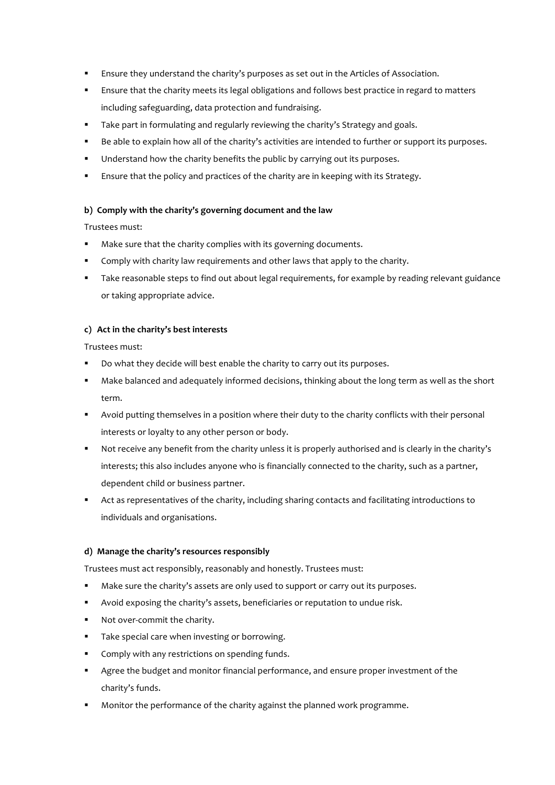- Ensure they understand the charity's purposes as set out in the Articles of Association.
- " Ensure that the charity meets its legal obligations and follows best practice in regard to matters including safeguarding, data protection and fundraising.
- Take part in formulating and regularly reviewing the charity's Strategy and goals.
- Be able to explain how all of the charity's activities are intended to further or support its purposes.
- " Understand how the charity benefits the public by carrying out its purposes.
- Ensure that the policy and practices of the charity are in keeping with its Strategy.

# **b)** Comply with the charity's governing document and the law

# Trustees must:

- " Make sure that the charity complies with its governing documents.
- " Comply with charity law requirements and other laws that apply to the charity.
- " Take reasonable steps to find out about legal requirements, for example by reading relevant guidance or taking appropriate advice.

# **c) Act in the charity's best interests**

Trustees must:

- Do what they decide will best enable the charity to carry out its purposes.
- " Make balanced and adequately informed decisions, thinking about the long term as well as the short term.
- " Avoid putting themselves in a position where their duty to the charity conflicts with their personal interests or loyalty to any other person or body.
- " Not receive any benefit from the charity unless it is properly authorised and is clearly in the charity's interests; this also includes anyone who is financially connected to the charity, such as a partner, dependent child or business partner.
- Act as representatives of the charity, including sharing contacts and facilitating introductions to individuals and organisations.

# **d) Manage the charity's resources responsibly**

Trustees must act responsibly, reasonably and honestly. Trustees must:

- Make sure the charity's assets are only used to support or carry out its purposes.
- " Avoid exposing the charity's assets, beneficiaries or reputation to undue risk.
- Not over-commit the charity.
- " Take special care when investing or borrowing.
- **EXECOMPLA** Comply with any restrictions on spending funds.
- " Agree the budget and monitor financial performance, and ensure proper investment of the charity's funds.
- " Monitor the performance of the charity against the planned work programme.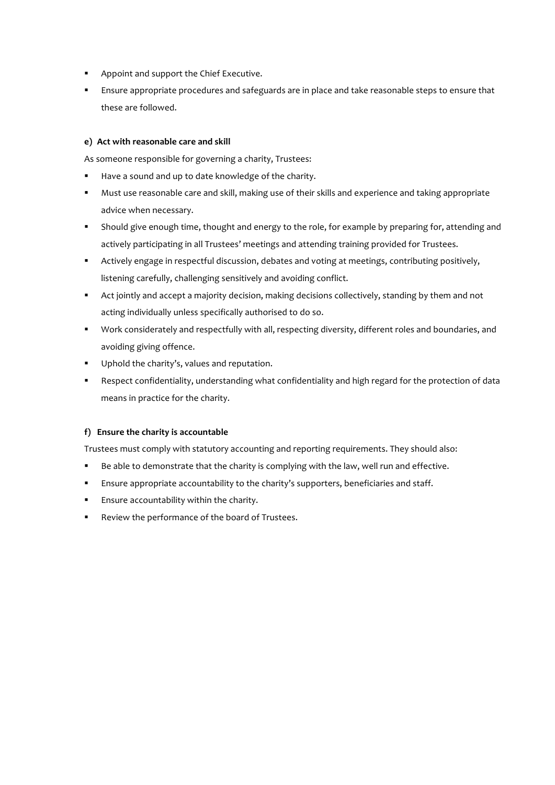- **.** Appoint and support the Chief Executive.
- " Ensure appropriate procedures and safeguards are in place and take reasonable steps to ensure that these are followed.

# **e) Act with reasonable care and skill**

As someone responsible for governing a charity, Trustees:

- Have a sound and up to date knowledge of the charity.
- " Must use reasonable care and skill, making use of their skills and experience and taking appropriate advice when necessary.
- " Should give enough time, thought and energy to the role, for example by preparing for, attending and actively participating in all Trustees' meetings and attending training provided for Trustees.
- " Actively engage in respectful discussion, debates and voting at meetings, contributing positively, listening carefully, challenging sensitively and avoiding conflict.
- " Act jointly and accept a majority decision, making decisions collectively, standing by them and not acting individually unless specifically authorised to do so.
- " Work considerately and respectfully with all, respecting diversity, different roles and boundaries, and avoiding giving offence.
- " Uphold the charity's, values and reputation.
- " Respect confidentiality, understanding what confidentiality and high regard for the protection of data means in practice for the charity.

# f) **Ensure the charity is accountable**

Trustees must comply with statutory accounting and reporting requirements. They should also:

- " Be able to demonstrate that the charity is complying with the law, well run and effective.
- **Ensure appropriate accountability to the charity's supporters, beneficiaries and staff.**
- **Ensure accountability within the charity.**
- " Review the performance of the board of Trustees.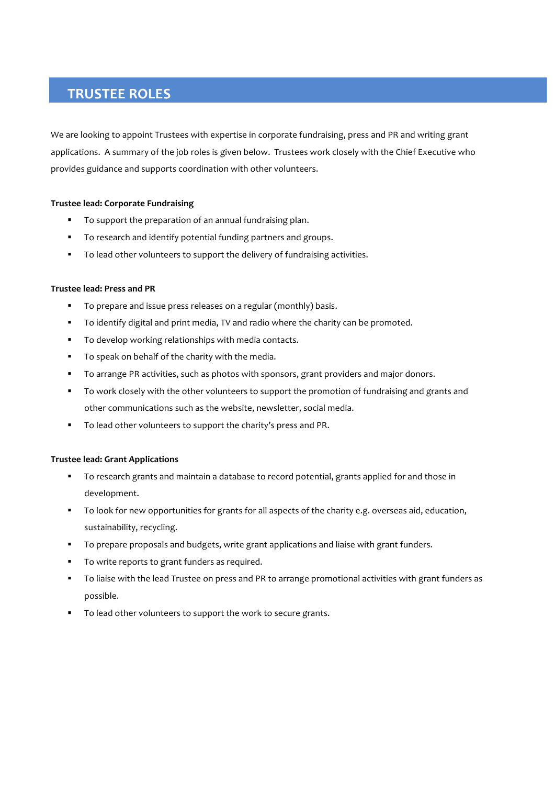# **TRUSTEE ROLES**

We are looking to appoint Trustees with expertise in corporate fundraising, press and PR and writing grant applications. A summary of the job roles is given below. Trustees work closely with the Chief Executive who provides guidance and supports coordination with other volunteers.

# **Trustee lead: Corporate Fundraising**

- To support the preparation of an annual fundraising plan.
- " To research and identify potential funding partners and groups.
- " To lead other volunteers to support the delivery of fundraising activities.

### **Trustee lead: Press and PR**

- " To prepare and issue press releases on a regular (monthly) basis.
- " To identify digital and print media, TV and radio where the charity can be promoted.
- " To develop working relationships with media contacts.
- " To speak on behalf of the charity with the media.
- " To arrange PR activities, such as photos with sponsors, grant providers and major donors.
- " To work closely with the other volunteers to support the promotion of fundraising and grants and other communications such as the website, newsletter, social media.
- " To lead other volunteers to support the charity's press and PR.

### **Trustee lead: Grant Applications**

- To research grants and maintain a database to record potential, grants applied for and those in development.
- " To look for new opportunities for grants for all aspects of the charity e.g. overseas aid, education, sustainability, recycling.
- " To prepare proposals and budgets, write grant applications and liaise with grant funders.
- " To write reports to grant funders as required.
- " To liaise with the lead Trustee on press and PR to arrange promotional activities with grant funders as possible.
- To lead other volunteers to support the work to secure grants.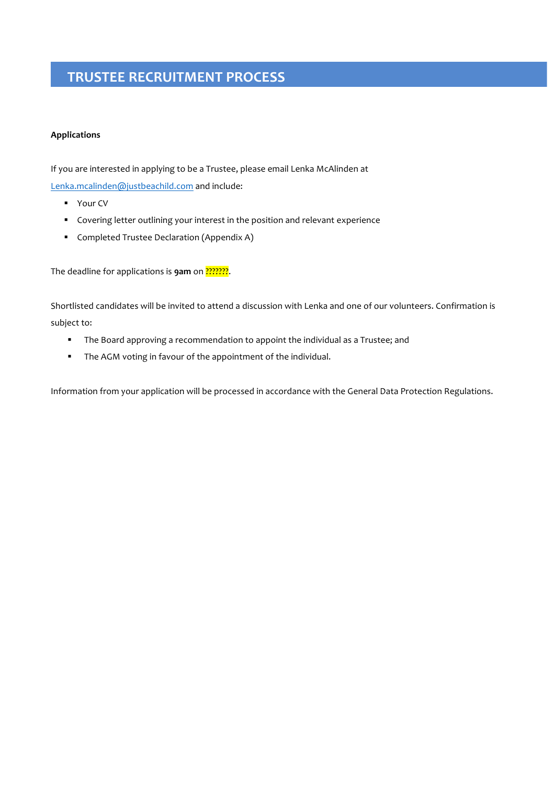# **TRUSTEE RECRUITMENT PROCESS**

# **Applications**

If you are interested in applying to be a Trustee, please email Lenka McAlinden at

Lenka.mcalinden@justbeachild.com and include:

- Your CV
- Covering letter outlining your interest in the position and relevant experience
- **E** Completed Trustee Declaration (Appendix A)

The deadline for applications is **9am** on ????????.

Shortlisted candidates will be invited to attend a discussion with Lenka and one of our volunteers. Confirmation is subject to:

- " The Board approving a recommendation to appoint the individual as a Trustee; and
- " The AGM voting in favour of the appointment of the individual.

Information from your application will be processed in accordance with the General Data Protection Regulations.